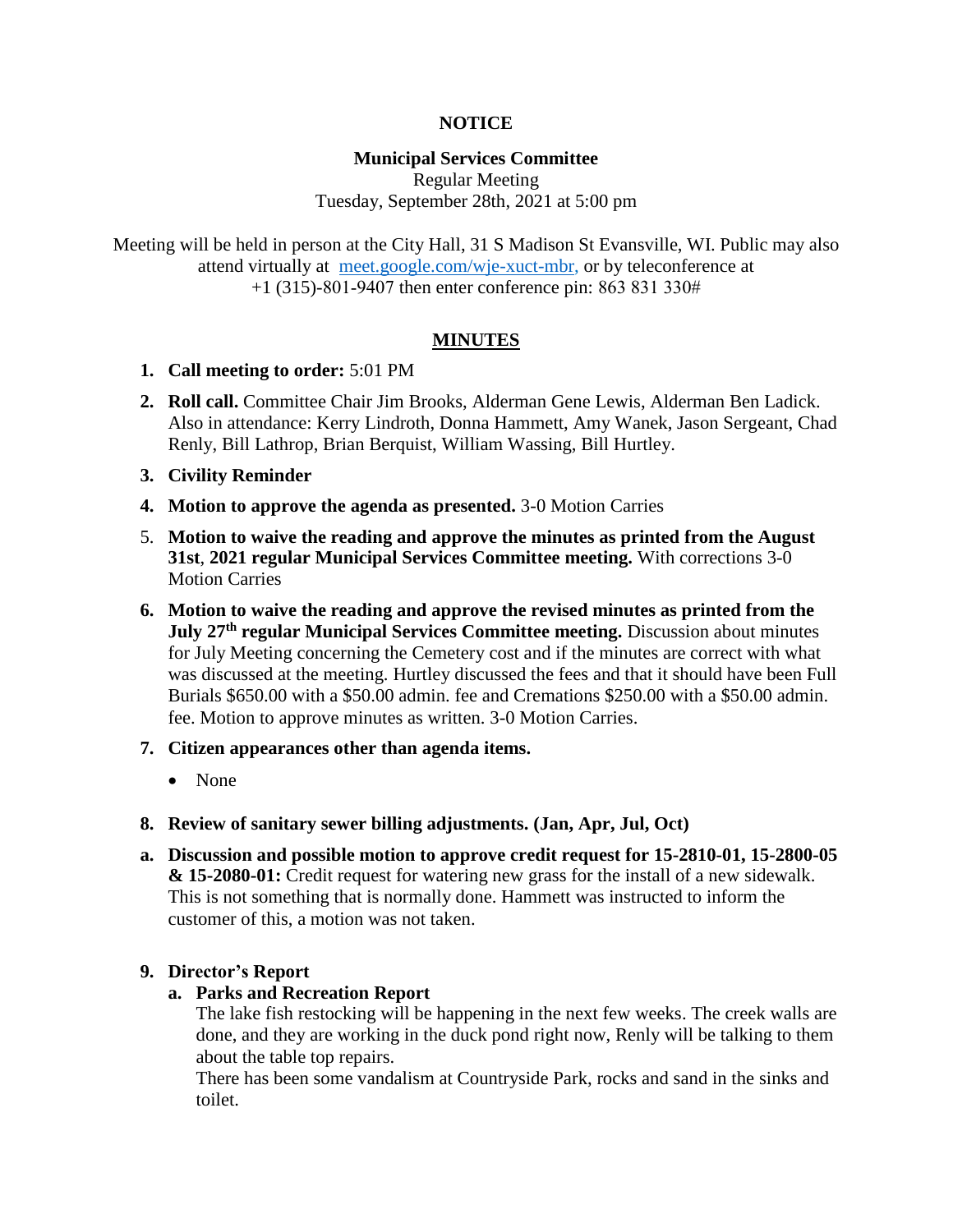## **NOTICE**

## **Municipal Services Committee**

Regular Meeting Tuesday, September 28th, 2021 at 5:00 pm

Meeting will be held in person at the City Hall, 31 S Madison St Evansville, WI. Public may also attend virtually at [meet.google.com/wje-xuct-mbr,](file:///C:/Users/hammettd/AppData/Local/Microsoft/Windows/INetCache/Content.Outlook/00Y3ZRQ9/meet.google.com/wje-xuct-mbr) or by teleconference at +1 (315)-801-9407 then enter conference pin: 863 831 330#

### **MINUTES**

- **1. Call meeting to order:** 5:01 PM
- **2. Roll call.** Committee Chair Jim Brooks, Alderman Gene Lewis, Alderman Ben Ladick. Also in attendance: Kerry Lindroth, Donna Hammett, Amy Wanek, Jason Sergeant, Chad Renly, Bill Lathrop, Brian Berquist, William Wassing, Bill Hurtley.
- **3. Civility Reminder**
- **4. Motion to approve the agenda as presented.** 3-0 Motion Carries
- 5. **Motion to waive the reading and approve the minutes as printed from the August 31st**, **2021 regular Municipal Services Committee meeting.** With corrections 3-0 Motion Carries
- **6. Motion to waive the reading and approve the revised minutes as printed from the July 27th regular Municipal Services Committee meeting.** Discussion about minutes for July Meeting concerning the Cemetery cost and if the minutes are correct with what was discussed at the meeting. Hurtley discussed the fees and that it should have been Full Burials \$650.00 with a \$50.00 admin. fee and Cremations \$250.00 with a \$50.00 admin. fee. Motion to approve minutes as written. 3-0 Motion Carries.
- **7. Citizen appearances other than agenda items.**
	- None
- **8. Review of sanitary sewer billing adjustments. (Jan, Apr, Jul, Oct)**
- **a. Discussion and possible motion to approve credit request for 15-2810-01, 15-2800-05 & 15-2080-01:** Credit request for watering new grass for the install of a new sidewalk. This is not something that is normally done. Hammett was instructed to inform the customer of this, a motion was not taken.

### **9. Director's Report**

**a. Parks and Recreation Report**

The lake fish restocking will be happening in the next few weeks. The creek walls are done, and they are working in the duck pond right now, Renly will be talking to them about the table top repairs.

There has been some vandalism at Countryside Park, rocks and sand in the sinks and toilet.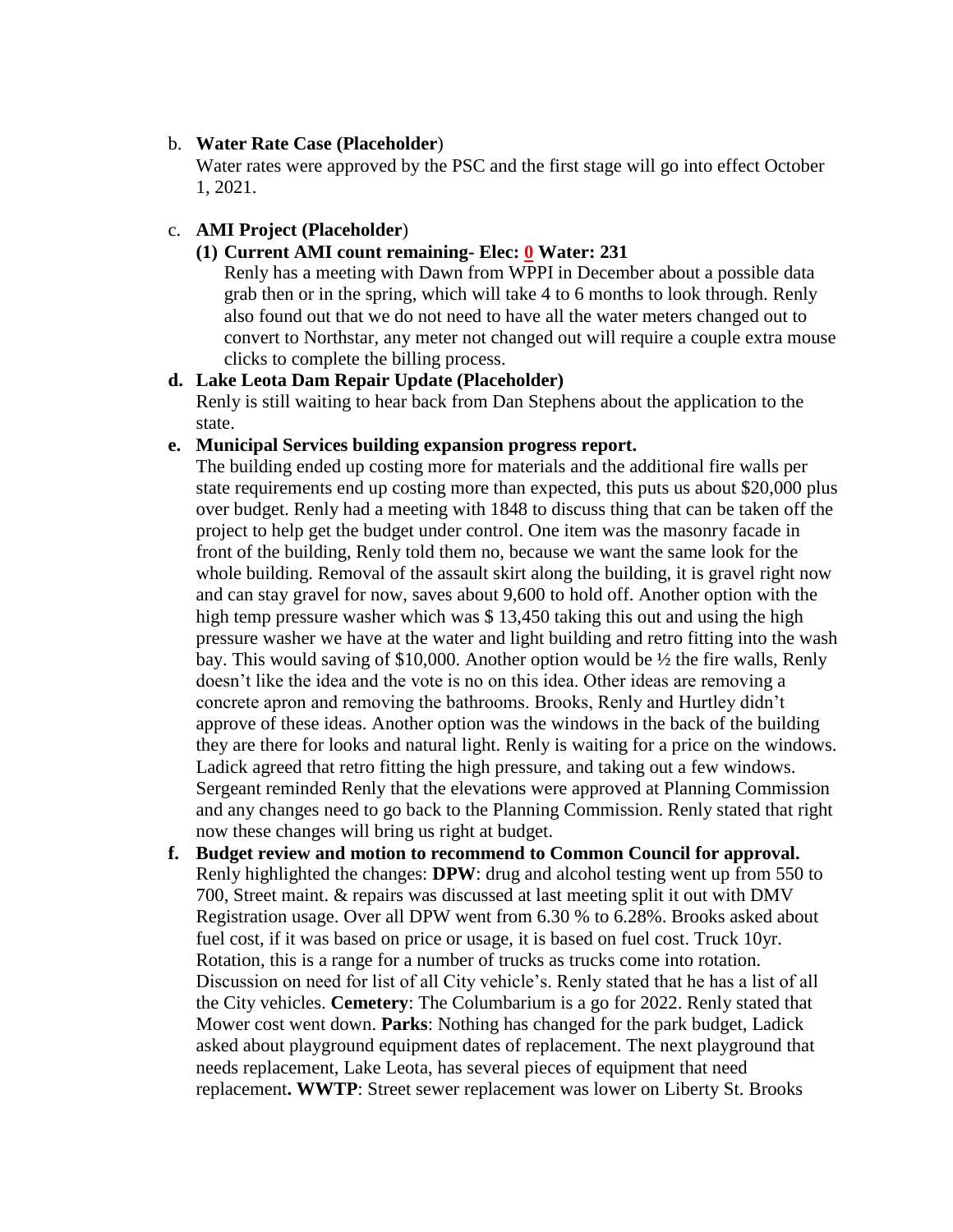#### b. **Water Rate Case (Placeholder**)

Water rates were approved by the PSC and the first stage will go into effect October 1, 2021.

## c. **AMI Project (Placeholder**)

## **(1) Current AMI count remaining- Elec: 0 Water: 231**

Renly has a meeting with Dawn from WPPI in December about a possible data grab then or in the spring, which will take 4 to 6 months to look through. Renly also found out that we do not need to have all the water meters changed out to convert to Northstar, any meter not changed out will require a couple extra mouse clicks to complete the billing process.

### **d. Lake Leota Dam Repair Update (Placeholder)**

Renly is still waiting to hear back from Dan Stephens about the application to the state.

#### **e. Municipal Services building expansion progress report.**

The building ended up costing more for materials and the additional fire walls per state requirements end up costing more than expected, this puts us about \$20,000 plus over budget. Renly had a meeting with 1848 to discuss thing that can be taken off the project to help get the budget under control. One item was the masonry facade in front of the building, Renly told them no, because we want the same look for the whole building. Removal of the assault skirt along the building, it is gravel right now and can stay gravel for now, saves about 9,600 to hold off. Another option with the high temp pressure washer which was \$ 13,450 taking this out and using the high pressure washer we have at the water and light building and retro fitting into the wash bay. This would saving of \$10,000. Another option would be ½ the fire walls, Renly doesn't like the idea and the vote is no on this idea. Other ideas are removing a concrete apron and removing the bathrooms. Brooks, Renly and Hurtley didn't approve of these ideas. Another option was the windows in the back of the building they are there for looks and natural light. Renly is waiting for a price on the windows. Ladick agreed that retro fitting the high pressure, and taking out a few windows. Sergeant reminded Renly that the elevations were approved at Planning Commission and any changes need to go back to the Planning Commission. Renly stated that right now these changes will bring us right at budget.

**f. Budget review and motion to recommend to Common Council for approval.** Renly highlighted the changes: **DPW**: drug and alcohol testing went up from 550 to 700, Street maint. & repairs was discussed at last meeting split it out with DMV Registration usage. Over all DPW went from 6.30 % to 6.28%. Brooks asked about fuel cost, if it was based on price or usage, it is based on fuel cost. Truck 10yr. Rotation, this is a range for a number of trucks as trucks come into rotation. Discussion on need for list of all City vehicle's. Renly stated that he has a list of all the City vehicles. **Cemetery**: The Columbarium is a go for 2022. Renly stated that Mower cost went down. **Parks**: Nothing has changed for the park budget, Ladick asked about playground equipment dates of replacement. The next playground that needs replacement, Lake Leota, has several pieces of equipment that need replacement**. WWTP**: Street sewer replacement was lower on Liberty St. Brooks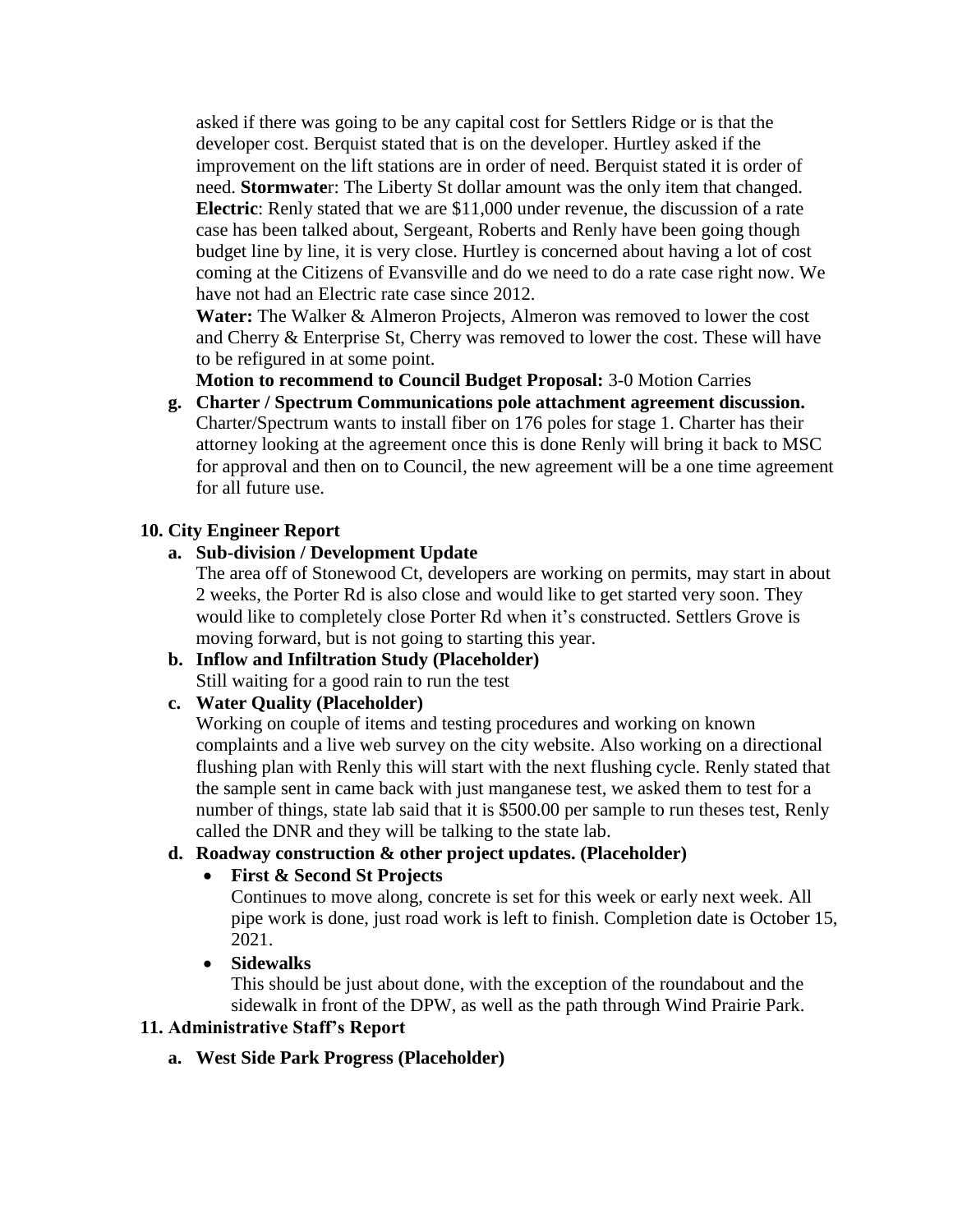asked if there was going to be any capital cost for Settlers Ridge or is that the developer cost. Berquist stated that is on the developer. Hurtley asked if the improvement on the lift stations are in order of need. Berquist stated it is order of need. **Stormwate**r: The Liberty St dollar amount was the only item that changed. **Electric**: Renly stated that we are \$11,000 under revenue, the discussion of a rate case has been talked about, Sergeant, Roberts and Renly have been going though budget line by line, it is very close. Hurtley is concerned about having a lot of cost coming at the Citizens of Evansville and do we need to do a rate case right now. We have not had an Electric rate case since 2012.

**Water:** The Walker & Almeron Projects, Almeron was removed to lower the cost and Cherry & Enterprise St, Cherry was removed to lower the cost. These will have to be refigured in at some point.

**Motion to recommend to Council Budget Proposal:** 3-0 Motion Carries

**g. Charter / Spectrum Communications pole attachment agreement discussion.** Charter/Spectrum wants to install fiber on 176 poles for stage 1. Charter has their attorney looking at the agreement once this is done Renly will bring it back to MSC for approval and then on to Council, the new agreement will be a one time agreement for all future use.

# **10. City Engineer Report**

## **a. Sub-division / Development Update**

The area off of Stonewood Ct, developers are working on permits, may start in about 2 weeks, the Porter Rd is also close and would like to get started very soon. They would like to completely close Porter Rd when it's constructed. Settlers Grove is moving forward, but is not going to starting this year.

**b. Inflow and Infiltration Study (Placeholder)** Still waiting for a good rain to run the test

# **c. Water Quality (Placeholder)**

Working on couple of items and testing procedures and working on known complaints and a live web survey on the city website. Also working on a directional flushing plan with Renly this will start with the next flushing cycle. Renly stated that the sample sent in came back with just manganese test, we asked them to test for a number of things, state lab said that it is \$500.00 per sample to run theses test, Renly called the DNR and they will be talking to the state lab.

## **d. Roadway construction & other project updates. (Placeholder)**

# **First & Second St Projects**

Continues to move along, concrete is set for this week or early next week. All pipe work is done, just road work is left to finish. Completion date is October 15, 2021.

**Sidewalks**

This should be just about done, with the exception of the roundabout and the sidewalk in front of the DPW, as well as the path through Wind Prairie Park.

## **11. Administrative Staff's Report**

**a. West Side Park Progress (Placeholder)**